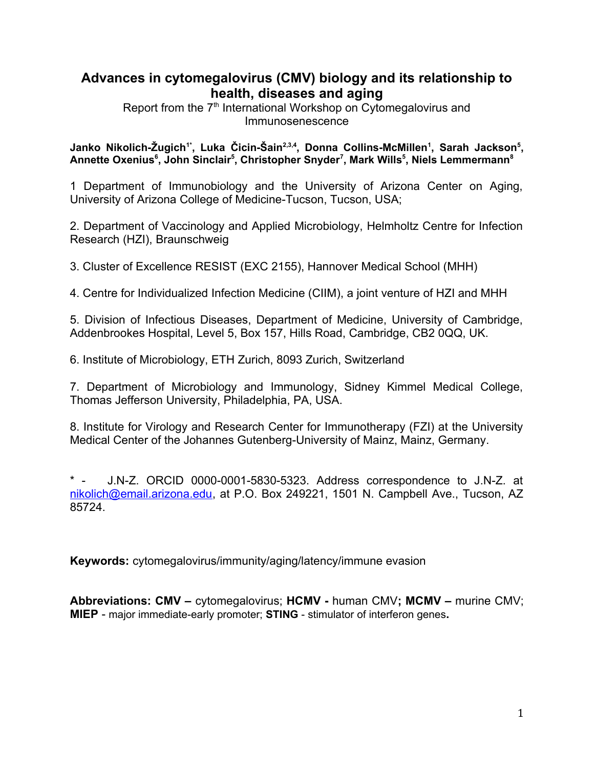# **Advances in cytomegalovirus (CMV) biology and its relationship to health, diseases and aging**

Report from the 7<sup>th</sup> International Workshop on Cytomegalovirus and Immunosenescence

**Janko Nikolich-Žugich1\*, Luka Čicin-Šain2,3,4, Donna Collins-McMillen<sup>1</sup> , Sarah Jackson<sup>5</sup> , Annette Oxenius<sup>6</sup> , John Sinclair<sup>5</sup> , Christopher Snyder<sup>7</sup> , Mark Wills<sup>5</sup> , Niels Lemmermann<sup>8</sup>**

1 Department of Immunobiology and the University of Arizona Center on Aging, University of Arizona College of Medicine-Tucson, Tucson, USA;

2. Department of Vaccinology and Applied Microbiology, Helmholtz Centre for Infection Research (HZI), Braunschweig

3. Cluster of Excellence RESIST (EXC 2155), Hannover Medical School (MHH)

4. Centre for Individualized Infection Medicine (CIIM), a joint venture of HZI and MHH

5. Division of Infectious Diseases, Department of Medicine, University of Cambridge, Addenbrookes Hospital, Level 5, Box 157, Hills Road, Cambridge, CB2 0QQ, UK.

6. Institute of Microbiology, ETH Zurich, 8093 Zurich, Switzerland

7. Department of Microbiology and Immunology, Sidney Kimmel Medical College, Thomas Jefferson University, Philadelphia, PA, USA.

8. Institute for Virology and Research Center for Immunotherapy (FZI) at the University Medical Center of the Johannes Gutenberg-University of Mainz, Mainz, Germany.

\* - J.N-Z. ORCID 0000-0001-5830-5323. Address correspondence to J.N-Z. at [nikolich@email.arizona.edu](mailto:nikolich@email.arizona.edu), at P.O. Box 249221, 1501 N. Campbell Ave., Tucson, AZ 85724.

**Keywords:** cytomegalovirus/immunity/aging/latency/immune evasion

**Abbreviations: CMV –** cytomegalovirus; **HCMV -** human CMV**; MCMV –** murine CMV; **MIEP** - major immediate-early promoter; **STING** - stimulator of interferon genes**.**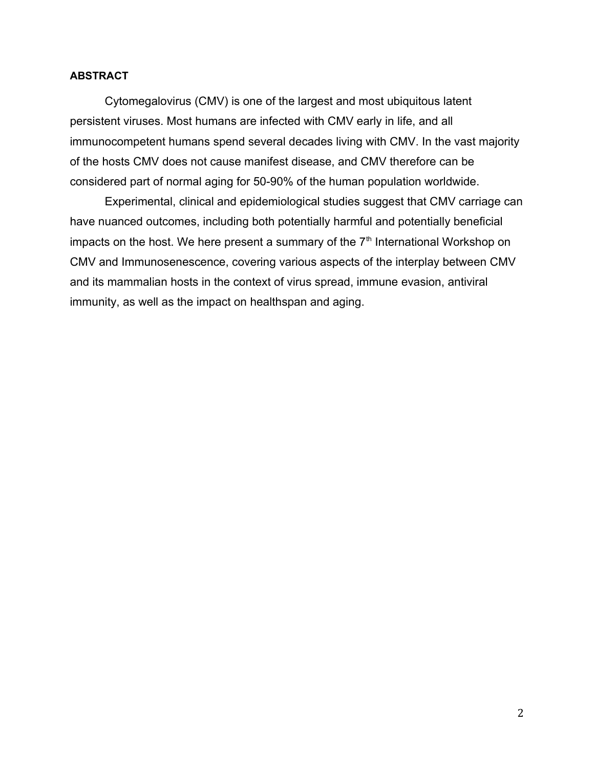# **ABSTRACT**

Cytomegalovirus (CMV) is one of the largest and most ubiquitous latent persistent viruses. Most humans are infected with CMV early in life, and all immunocompetent humans spend several decades living with CMV. In the vast majority of the hosts CMV does not cause manifest disease, and CMV therefore can be considered part of normal aging for 50-90% of the human population worldwide.

Experimental, clinical and epidemiological studies suggest that CMV carriage can have nuanced outcomes, including both potentially harmful and potentially beneficial impacts on the host. We here present a summary of the  $7<sup>th</sup>$  International Workshop on CMV and Immunosenescence, covering various aspects of the interplay between CMV and its mammalian hosts in the context of virus spread, immune evasion, antiviral immunity, as well as the impact on healthspan and aging.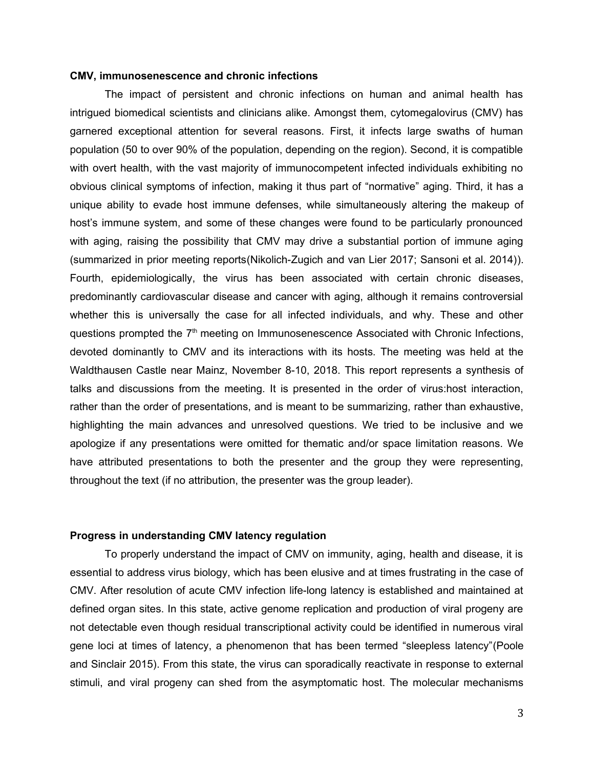### **CMV, immunosenescence and chronic infections**

The impact of persistent and chronic infections on human and animal health has intrigued biomedical scientists and clinicians alike. Amongst them, cytomegalovirus (CMV) has garnered exceptional attention for several reasons. First, it infects large swaths of human population (50 to over 90% of the population, depending on the region). Second, it is compatible with overt health, with the vast majority of immunocompetent infected individuals exhibiting no obvious clinical symptoms of infection, making it thus part of "normative" aging. Third, it has a unique ability to evade host immune defenses, while simultaneously altering the makeup of host's immune system, and some of these changes were found to be particularly pronounced with aging, raising the possibility that CMV may drive a substantial portion of immune aging (summarized in prior meeting reports(Nikolich-Zugich and van Lier 2017; Sansoni et al. 2014)). Fourth, epidemiologically, the virus has been associated with certain chronic diseases, predominantly cardiovascular disease and cancer with aging, although it remains controversial whether this is universally the case for all infected individuals, and why. These and other questions prompted the  $7<sup>th</sup>$  meeting on Immunosenescence Associated with Chronic Infections, devoted dominantly to CMV and its interactions with its hosts. The meeting was held at the Waldthausen Castle near Mainz, November 8-10, 2018. This report represents a synthesis of talks and discussions from the meeting. It is presented in the order of virus:host interaction, rather than the order of presentations, and is meant to be summarizing, rather than exhaustive, highlighting the main advances and unresolved questions. We tried to be inclusive and we apologize if any presentations were omitted for thematic and/or space limitation reasons. We have attributed presentations to both the presenter and the group they were representing, throughout the text (if no attribution, the presenter was the group leader).

### **Progress in understanding CMV latency regulation**

To properly understand the impact of CMV on immunity, aging, health and disease, it is essential to address virus biology, which has been elusive and at times frustrating in the case of CMV. After resolution of acute CMV infection life-long latency is established and maintained at defined organ sites. In this state, active genome replication and production of viral progeny are not detectable even though residual transcriptional activity could be identified in numerous viral gene loci at times of latency, a phenomenon that has been termed "sleepless latency"(Poole and Sinclair 2015). From this state, the virus can sporadically reactivate in response to external stimuli, and viral progeny can shed from the asymptomatic host. The molecular mechanisms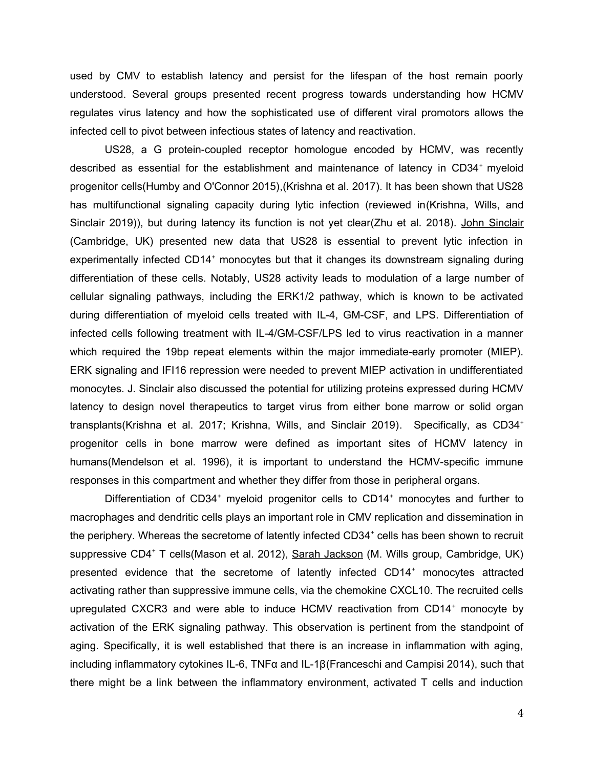used by CMV to establish latency and persist for the lifespan of the host remain poorly understood. Several groups presented recent progress towards understanding how HCMV regulates virus latency and how the sophisticated use of different viral promotors allows the infected cell to pivot between infectious states of latency and reactivation.

US28, a G protein-coupled receptor homologue encoded by HCMV, was recently described as essential for the establishment and maintenance of latency in CD34<sup>+</sup> myeloid progenitor cells(Humby and O'Connor 2015),(Krishna et al. 2017). It has been shown that US28 has multifunctional signaling capacity during lytic infection (reviewed in(Krishna, Wills, and Sinclair 2019)), but during latency its function is not yet clear(Zhu et al. 2018). John Sinclair (Cambridge, UK) presented new data that US28 is essential to prevent lytic infection in experimentally infected CD14<sup>+</sup> monocytes but that it changes its downstream signaling during differentiation of these cells. Notably, US28 activity leads to modulation of a large number of cellular signaling pathways, including the ERK1/2 pathway, which is known to be activated during differentiation of myeloid cells treated with IL-4, GM-CSF, and LPS. Differentiation of infected cells following treatment with IL-4/GM-CSF/LPS led to virus reactivation in a manner which required the 19bp repeat elements within the major immediate-early promoter (MIEP). ERK signaling and IFI16 repression were needed to prevent MIEP activation in undifferentiated monocytes. J. Sinclair also discussed the potential for utilizing proteins expressed during HCMV latency to design novel therapeutics to target virus from either bone marrow or solid organ transplants(Krishna et al. 2017; Krishna, Wills, and Sinclair 2019). Specifically, as CD34<sup>+</sup> progenitor cells in bone marrow were defined as important sites of HCMV latency in humans(Mendelson et al. 1996), it is important to understand the HCMV-specific immune responses in this compartment and whether they differ from those in peripheral organs.

Differentiation of CD34<sup>+</sup> myeloid progenitor cells to CD14<sup>+</sup> monocytes and further to macrophages and dendritic cells plays an important role in CMV replication and dissemination in the periphery. Whereas the secretome of latently infected CD34<sup>+</sup> cells has been shown to recruit suppressive CD4<sup>+</sup> T cells(Mason et al. 2012), <u>Sarah Jackson</u> (M. Wills group, Cambridge, UK) presented evidence that the secretome of latently infected CD14<sup>+</sup> monocytes attracted activating rather than suppressive immune cells, via the chemokine CXCL10. The recruited cells upregulated CXCR3 and were able to induce HCMV reactivation from CD14<sup>+</sup> monocyte by activation of the ERK signaling pathway. This observation is pertinent from the standpoint of aging. Specifically, it is well established that there is an increase in inflammation with aging, including inflammatory cytokines IL-6, TNFα and IL-1β(Franceschi and Campisi 2014), such that there might be a link between the inflammatory environment, activated T cells and induction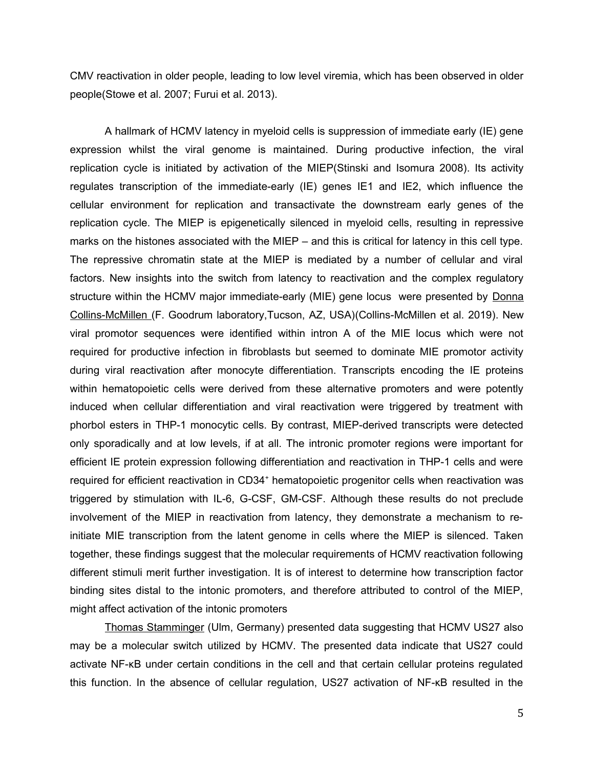CMV reactivation in older people, leading to low level viremia, which has been observed in older people(Stowe et al. 2007; Furui et al. 2013).

A hallmark of HCMV latency in myeloid cells is suppression of immediate early (IE) gene expression whilst the viral genome is maintained. During productive infection, the viral replication cycle is initiated by activation of the MIEP(Stinski and Isomura 2008). Its activity regulates transcription of the immediate-early (IE) genes IE1 and IE2, which influence the cellular environment for replication and transactivate the downstream early genes of the replication cycle. The MIEP is epigenetically silenced in myeloid cells, resulting in repressive marks on the histones associated with the MIEP – and this is critical for latency in this cell type. The repressive chromatin state at the MIEP is mediated by a number of cellular and viral factors. New insights into the switch from latency to reactivation and the complex regulatory structure within the HCMV major immediate-early (MIE) gene locus were presented by Donna Collins-McMillen (F. Goodrum laboratory,Tucson, AZ, USA)(Collins-McMillen et al. 2019). New viral promotor sequences were identified within intron A of the MIE locus which were not required for productive infection in fibroblasts but seemed to dominate MIE promotor activity during viral reactivation after monocyte differentiation. Transcripts encoding the IE proteins within hematopoietic cells were derived from these alternative promoters and were potently induced when cellular differentiation and viral reactivation were triggered by treatment with phorbol esters in THP-1 monocytic cells. By contrast, MIEP-derived transcripts were detected only sporadically and at low levels, if at all. The intronic promoter regions were important for efficient IE protein expression following differentiation and reactivation in THP-1 cells and were required for efficient reactivation in CD34<sup>+</sup> hematopoietic progenitor cells when reactivation was triggered by stimulation with IL-6, G-CSF, GM-CSF. Although these results do not preclude involvement of the MIEP in reactivation from latency, they demonstrate a mechanism to reinitiate MIE transcription from the latent genome in cells where the MIEP is silenced. Taken together, these findings suggest that the molecular requirements of HCMV reactivation following different stimuli merit further investigation. It is of interest to determine how transcription factor binding sites distal to the intonic promoters, and therefore attributed to control of the MIEP, might affect activation of the intonic promoters

Thomas Stamminger (Ulm, Germany) presented data suggesting that HCMV US27 also may be a molecular switch utilized by HCMV. The presented data indicate that US27 could activate NF-κB under certain conditions in the cell and that certain cellular proteins regulated this function. In the absence of cellular regulation, US27 activation of NF-κB resulted in the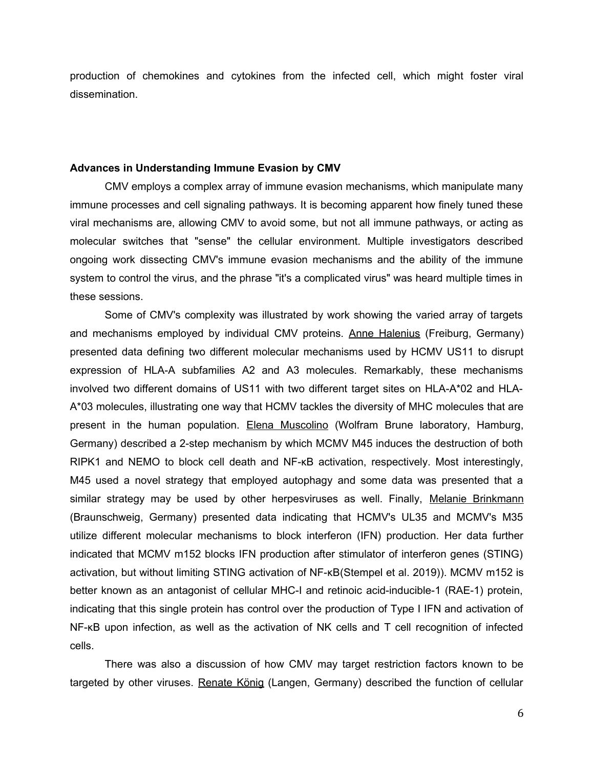production of chemokines and cytokines from the infected cell, which might foster viral dissemination.

### **Advances in Understanding Immune Evasion by CMV**

CMV employs a complex array of immune evasion mechanisms, which manipulate many immune processes and cell signaling pathways. It is becoming apparent how finely tuned these viral mechanisms are, allowing CMV to avoid some, but not all immune pathways, or acting as molecular switches that "sense" the cellular environment. Multiple investigators described ongoing work dissecting CMV's immune evasion mechanisms and the ability of the immune system to control the virus, and the phrase "it's a complicated virus" was heard multiple times in these sessions.

Some of CMV's complexity was illustrated by work showing the varied array of targets and mechanisms employed by individual CMV proteins. Anne Halenius (Freiburg, Germany) presented data defining two different molecular mechanisms used by HCMV US11 to disrupt expression of HLA-A subfamilies A2 and A3 molecules. Remarkably, these mechanisms involved two different domains of US11 with two different target sites on HLA-A\*02 and HLA-A\*03 molecules, illustrating one way that HCMV tackles the diversity of MHC molecules that are present in the human population. Elena Muscolino (Wolfram Brune laboratory, Hamburg, Germany) described a 2-step mechanism by which MCMV M45 induces the destruction of both RIPK1 and NEMO to block cell death and NF-κB activation, respectively. Most interestingly, M45 used a novel strategy that employed autophagy and some data was presented that a similar strategy may be used by other herpesviruses as well. Finally, Melanie Brinkmann (Braunschweig, Germany) presented data indicating that HCMV's UL35 and MCMV's M35 utilize different molecular mechanisms to block interferon (IFN) production. Her data further indicated that MCMV m152 blocks IFN production after stimulator of interferon genes (STING) activation, but without limiting STING activation of NF-κB(Stempel et al. 2019)). MCMV m152 is better known as an antagonist of cellular MHC-I and retinoic acid-inducible-1 (RAE-1) protein, indicating that this single protein has control over the production of Type I IFN and activation of NF-κB upon infection, as well as the activation of NK cells and T cell recognition of infected cells.

There was also a discussion of how CMV may target restriction factors known to be targeted by other viruses. Renate König (Langen, Germany) described the function of cellular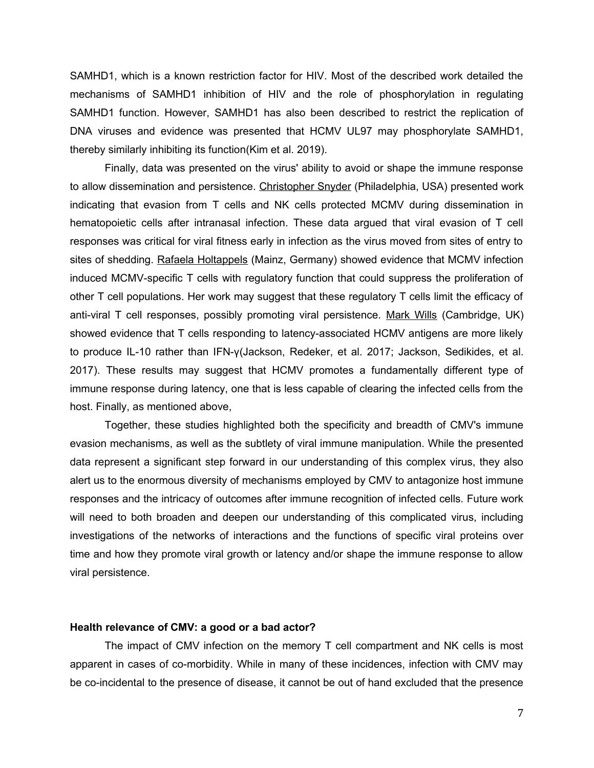SAMHD1, which is a known restriction factor for HIV. Most of the described work detailed the mechanisms of SAMHD1 inhibition of HIV and the role of phosphorylation in regulating SAMHD1 function. However, SAMHD1 has also been described to restrict the replication of DNA viruses and evidence was presented that HCMV UL97 may phosphorylate SAMHD1, thereby similarly inhibiting its function(Kim et al. 2019).

Finally, data was presented on the virus' ability to avoid or shape the immune response to allow dissemination and persistence. Christopher Snyder (Philadelphia, USA) presented work indicating that evasion from T cells and NK cells protected MCMV during dissemination in hematopoietic cells after intranasal infection. These data argued that viral evasion of T cell responses was critical for viral fitness early in infection as the virus moved from sites of entry to sites of shedding. Rafaela Holtappels (Mainz, Germany) showed evidence that MCMV infection induced MCMV-specific T cells with regulatory function that could suppress the proliferation of other T cell populations. Her work may suggest that these regulatory T cells limit the efficacy of anti-viral T cell responses, possibly promoting viral persistence. Mark Wills (Cambridge, UK) showed evidence that T cells responding to latency-associated HCMV antigens are more likely to produce IL-10 rather than IFN-γ(Jackson, Redeker, et al. 2017; Jackson, Sedikides, et al. 2017). These results may suggest that HCMV promotes a fundamentally different type of immune response during latency, one that is less capable of clearing the infected cells from the host. Finally, as mentioned above,

Together, these studies highlighted both the specificity and breadth of CMV's immune evasion mechanisms, as well as the subtlety of viral immune manipulation. While the presented data represent a significant step forward in our understanding of this complex virus, they also alert us to the enormous diversity of mechanisms employed by CMV to antagonize host immune responses and the intricacy of outcomes after immune recognition of infected cells. Future work will need to both broaden and deepen our understanding of this complicated virus, including investigations of the networks of interactions and the functions of specific viral proteins over time and how they promote viral growth or latency and/or shape the immune response to allow viral persistence.

### **Health relevance of CMV: a good or a bad actor?**

The impact of CMV infection on the memory T cell compartment and NK cells is most apparent in cases of co-morbidity. While in many of these incidences, infection with CMV may be co-incidental to the presence of disease, it cannot be out of hand excluded that the presence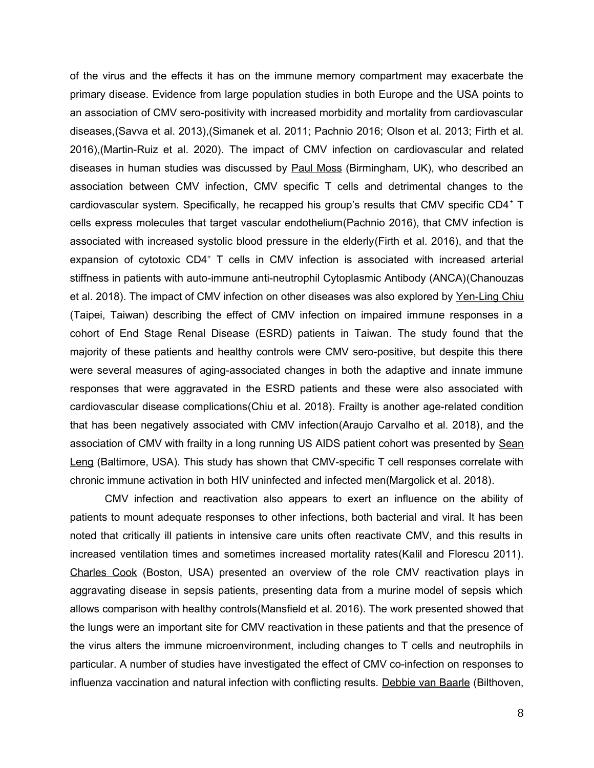of the virus and the effects it has on the immune memory compartment may exacerbate the primary disease. Evidence from large population studies in both Europe and the USA points to an association of CMV sero-positivity with increased morbidity and mortality from cardiovascular diseases,(Savva et al. 2013),(Simanek et al. 2011; Pachnio 2016; Olson et al. 2013; Firth et al. 2016),(Martin-Ruiz et al. 2020). The impact of CMV infection on cardiovascular and related diseases in human studies was discussed by Paul Moss (Birmingham, UK), who described an association between CMV infection, CMV specific T cells and detrimental changes to the cardiovascular system. Specifically, he recapped his group's results that CMV specific CD4<sup>+</sup> T cells express molecules that target vascular endothelium(Pachnio 2016), that CMV infection is associated with increased systolic blood pressure in the elderly(Firth et al. 2016), and that the expansion of cytotoxic CD4<sup>+</sup> T cells in CMV infection is associated with increased arterial stiffness in patients with auto-immune anti-neutrophil Cytoplasmic Antibody (ANCA)(Chanouzas et al. 2018). The impact of CMV infection on other diseases was also explored by Yen-Ling Chiu (Taipei, Taiwan) describing the effect of CMV infection on impaired immune responses in a cohort of End Stage Renal Disease (ESRD) patients in Taiwan. The study found that the majority of these patients and healthy controls were CMV sero-positive, but despite this there were several measures of aging-associated changes in both the adaptive and innate immune responses that were aggravated in the ESRD patients and these were also associated with cardiovascular disease complications(Chiu et al. 2018). Frailty is another age-related condition that has been negatively associated with CMV infection(Araujo Carvalho et al. 2018), and the association of CMV with frailty in a long running US AIDS patient cohort was presented by Sean Leng (Baltimore, USA). This study has shown that CMV-specific T cell responses correlate with chronic immune activation in both HIV uninfected and infected men(Margolick et al. 2018).

CMV infection and reactivation also appears to exert an influence on the ability of patients to mount adequate responses to other infections, both bacterial and viral. It has been noted that critically ill patients in intensive care units often reactivate CMV, and this results in increased ventilation times and sometimes increased mortality rates(Kalil and Florescu 2011). Charles Cook (Boston, USA) presented an overview of the role CMV reactivation plays in aggravating disease in sepsis patients, presenting data from a murine model of sepsis which allows comparison with healthy controls(Mansfield et al. 2016). The work presented showed that the lungs were an important site for CMV reactivation in these patients and that the presence of the virus alters the immune microenvironment, including changes to T cells and neutrophils in particular. A number of studies have investigated the effect of CMV co-infection on responses to influenza vaccination and natural infection with conflicting results. Debbie van Baarle (Bilthoven,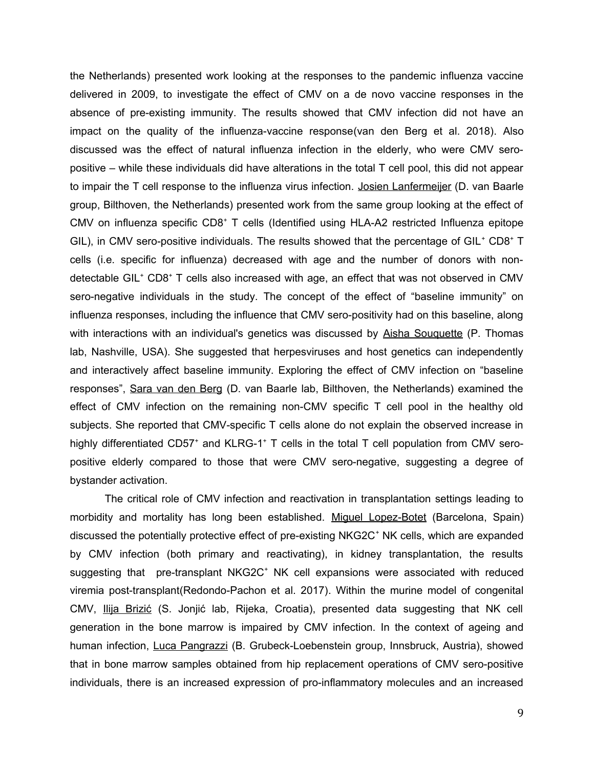the Netherlands) presented work looking at the responses to the pandemic influenza vaccine delivered in 2009, to investigate the effect of CMV on a de novo vaccine responses in the absence of pre-existing immunity. The results showed that CMV infection did not have an impact on the quality of the influenza-vaccine response(van den Berg et al. 2018). Also discussed was the effect of natural influenza infection in the elderly, who were CMV seropositive – while these individuals did have alterations in the total T cell pool, this did not appear to impair the T cell response to the influenza virus infection. Josien Lanfermeijer (D. van Baarle group, Bilthoven, the Netherlands) presented work from the same group looking at the effect of CMV on influenza specific CD8<sup>+</sup> T cells (Identified using HLA-A2 restricted Influenza epitope GIL), in CMV sero-positive individuals. The results showed that the percentage of GIL<sup>+</sup> CD8<sup>+</sup> T cells (i.e. specific for influenza) decreased with age and the number of donors with nondetectable GIL<sup>+</sup> CD8<sup>+</sup> T cells also increased with age, an effect that was not observed in CMV sero-negative individuals in the study. The concept of the effect of "baseline immunity" on influenza responses, including the influence that CMV sero-positivity had on this baseline, along with interactions with an individual's genetics was discussed by Aisha Souquette (P. Thomas lab, Nashville, USA). She suggested that herpesviruses and host genetics can independently and interactively affect baseline immunity. Exploring the effect of CMV infection on "baseline responses", Sara van den Berg (D. van Baarle lab, Bilthoven, the Netherlands) examined the effect of CMV infection on the remaining non-CMV specific T cell pool in the healthy old subjects. She reported that CMV-specific T cells alone do not explain the observed increase in highly differentiated CD57<sup>+</sup> and KLRG-1<sup>+</sup> T cells in the total T cell population from CMV seropositive elderly compared to those that were CMV sero-negative, suggesting a degree of bystander activation.

The critical role of CMV infection and reactivation in transplantation settings leading to morbidity and mortality has long been established. Miguel Lopez-Botet (Barcelona, Spain) discussed the potentially protective effect of pre-existing NKG2C<sup>+</sup> NK cells, which are expanded by CMV infection (both primary and reactivating), in kidney transplantation, the results suggesting that pre-transplant NKG2C<sup>+</sup> NK cell expansions were associated with reduced viremia post-transplant(Redondo-Pachon et al. 2017). Within the murine model of congenital CMV, Ilija Brizić (S. Jonjić lab, Rijeka, Croatia), presented data suggesting that NK cell generation in the bone marrow is impaired by CMV infection. In the context of ageing and human infection, Luca Pangrazzi (B. Grubeck-Loebenstein group, Innsbruck, Austria), showed that in bone marrow samples obtained from hip replacement operations of CMV sero-positive individuals, there is an increased expression of pro-inflammatory molecules and an increased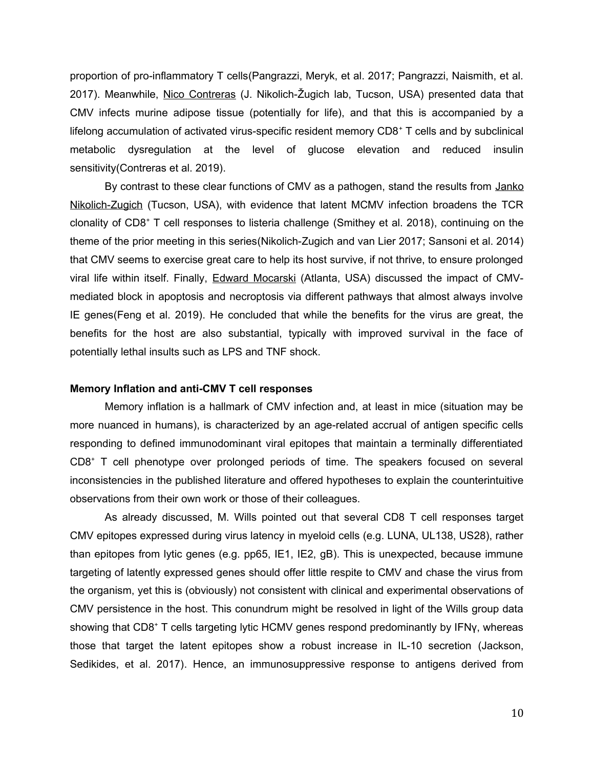proportion of pro-inflammatory T cells(Pangrazzi, Meryk, et al. 2017; Pangrazzi, Naismith, et al. 2017). Meanwhile, Nico Contreras (J. Nikolich-Žugich lab, Tucson, USA) presented data that CMV infects murine adipose tissue (potentially for life), and that this is accompanied by a lifelong accumulation of activated virus-specific resident memory CD8<sup>+</sup> T cells and by subclinical metabolic dysregulation at the level of glucose elevation and reduced insulin sensitivity(Contreras et al. 2019).

By contrast to these clear functions of CMV as a pathogen, stand the results from Janko Nikolich-Zugich (Tucson, USA), with evidence that latent MCMV infection broadens the TCR clonality of CD8<sup>+</sup> T cell responses to listeria challenge (Smithey et al. 2018), continuing on the theme of the prior meeting in this series(Nikolich-Zugich and van Lier 2017; Sansoni et al. 2014) that CMV seems to exercise great care to help its host survive, if not thrive, to ensure prolonged viral life within itself. Finally, **Edward Mocarski** (Atlanta, USA) discussed the impact of CMVmediated block in apoptosis and necroptosis via different pathways that almost always involve IE genes(Feng et al. 2019). He concluded that while the benefits for the virus are great, the benefits for the host are also substantial, typically with improved survival in the face of potentially lethal insults such as LPS and TNF shock.

### **Memory Inflation and anti-CMV T cell responses**

Memory inflation is a hallmark of CMV infection and, at least in mice (situation may be more nuanced in humans), is characterized by an age-related accrual of antigen specific cells responding to defined immunodominant viral epitopes that maintain a terminally differentiated CD8<sup>+</sup> T cell phenotype over prolonged periods of time. The speakers focused on several inconsistencies in the published literature and offered hypotheses to explain the counterintuitive observations from their own work or those of their colleagues.

As already discussed, M. Wills pointed out that several CD8 T cell responses target CMV epitopes expressed during virus latency in myeloid cells (e.g. LUNA, UL138, US28), rather than epitopes from lytic genes (e.g. pp65, IE1, IE2, gB). This is unexpected, because immune targeting of latently expressed genes should offer little respite to CMV and chase the virus from the organism, yet this is (obviously) not consistent with clinical and experimental observations of CMV persistence in the host. This conundrum might be resolved in light of the Wills group data showing that CD8<sup>+</sup> T cells targeting lytic HCMV genes respond predominantly by IFNγ, whereas those that target the latent epitopes show a robust increase in IL-10 secretion (Jackson, Sedikides, et al. 2017). Hence, an immunosuppressive response to antigens derived from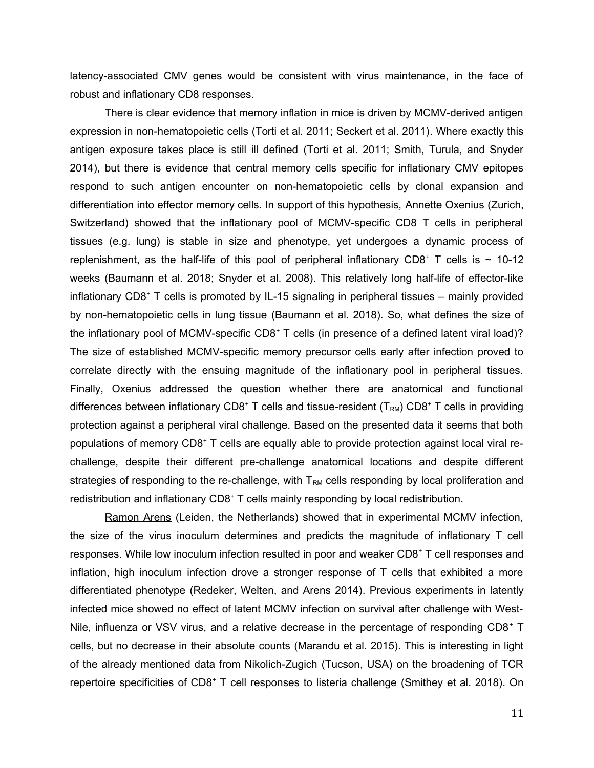latency-associated CMV genes would be consistent with virus maintenance, in the face of robust and inflationary CD8 responses.

There is clear evidence that memory inflation in mice is driven by MCMV-derived antigen expression in non-hematopoietic cells (Torti et al. 2011; Seckert et al. 2011). Where exactly this antigen exposure takes place is still ill defined (Torti et al. 2011; Smith, Turula, and Snyder 2014), but there is evidence that central memory cells specific for inflationary CMV epitopes respond to such antigen encounter on non-hematopoietic cells by clonal expansion and differentiation into effector memory cells. In support of this hypothesis, Annette Oxenius (Zurich, Switzerland) showed that the inflationary pool of MCMV-specific CD8 T cells in peripheral tissues (e.g. lung) is stable in size and phenotype, yet undergoes a dynamic process of replenishment, as the half-life of this pool of peripheral inflationary CD8<sup>+</sup> T cells is  $\sim$  10-12 weeks (Baumann et al. 2018; Snyder et al. 2008). This relatively long half-life of effector-like inflationary CD8<sup>+</sup> T cells is promoted by IL-15 signaling in peripheral tissues – mainly provided by non-hematopoietic cells in lung tissue (Baumann et al. 2018). So, what defines the size of the inflationary pool of MCMV-specific CD8<sup>+</sup> T cells (in presence of a defined latent viral load)? The size of established MCMV-specific memory precursor cells early after infection proved to correlate directly with the ensuing magnitude of the inflationary pool in peripheral tissues. Finally, Oxenius addressed the question whether there are anatomical and functional differences between inflationary CD8<sup>+</sup> T cells and tissue-resident (T<sub>RM</sub>) CD8<sup>+</sup> T cells in providing protection against a peripheral viral challenge. Based on the presented data it seems that both populations of memory CD8<sup>+</sup> T cells are equally able to provide protection against local viral rechallenge, despite their different pre-challenge anatomical locations and despite different strategies of responding to the re-challenge, with  $T<sub>RM</sub>$  cells responding by local proliferation and redistribution and inflationary CD8<sup>+</sup> T cells mainly responding by local redistribution.

Ramon Arens (Leiden, the Netherlands) showed that in experimental MCMV infection, the size of the virus inoculum determines and predicts the magnitude of inflationary T cell responses. While low inoculum infection resulted in poor and weaker CD8<sup>+</sup> T cell responses and inflation, high inoculum infection drove a stronger response of T cells that exhibited a more differentiated phenotype (Redeker, Welten, and Arens 2014). Previous experiments in latently infected mice showed no effect of latent MCMV infection on survival after challenge with West-Nile, influenza or VSV virus, and a relative decrease in the percentage of responding CD8<sup>+</sup> T cells, but no decrease in their absolute counts (Marandu et al. 2015). This is interesting in light of the already mentioned data from Nikolich-Zugich (Tucson, USA) on the broadening of TCR repertoire specificities of CD8<sup>+</sup> T cell responses to listeria challenge (Smithey et al. 2018). On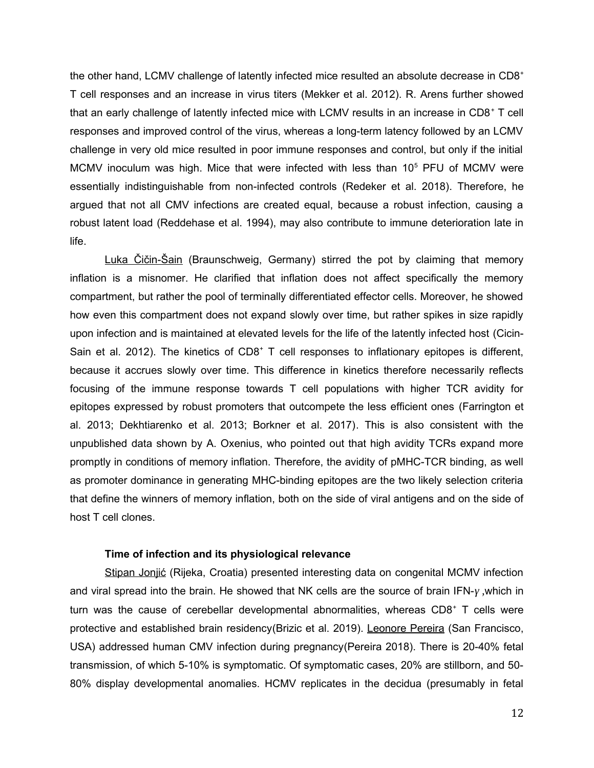the other hand, LCMV challenge of latently infected mice resulted an absolute decrease in CD8<sup>+</sup> T cell responses and an increase in virus titers (Mekker et al. 2012). R. Arens further showed that an early challenge of latently infected mice with LCMV results in an increase in  $CD8<sup>+</sup>$  T cell responses and improved control of the virus, whereas a long-term latency followed by an LCMV challenge in very old mice resulted in poor immune responses and control, but only if the initial MCMV inoculum was high. Mice that were infected with less than  $10<sup>5</sup>$  PFU of MCMV were essentially indistinguishable from non-infected controls (Redeker et al. 2018). Therefore, he argued that not all CMV infections are created equal, because a robust infection, causing a robust latent load (Reddehase et al. 1994), may also contribute to immune deterioration late in life.

Luka Čičin-Šain (Braunschweig, Germany) stirred the pot by claiming that memory inflation is a misnomer. He clarified that inflation does not affect specifically the memory compartment, but rather the pool of terminally differentiated effector cells. Moreover, he showed how even this compartment does not expand slowly over time, but rather spikes in size rapidly upon infection and is maintained at elevated levels for the life of the latently infected host (Cicin-Sain et al. 2012). The kinetics of CD8<sup>+</sup> T cell responses to inflationary epitopes is different, because it accrues slowly over time. This difference in kinetics therefore necessarily reflects focusing of the immune response towards T cell populations with higher TCR avidity for epitopes expressed by robust promoters that outcompete the less efficient ones (Farrington et al. 2013; Dekhtiarenko et al. 2013; Borkner et al. 2017). This is also consistent with the unpublished data shown by A. Oxenius, who pointed out that high avidity TCRs expand more promptly in conditions of memory inflation. Therefore, the avidity of pMHC-TCR binding, as well as promoter dominance in generating MHC-binding epitopes are the two likely selection criteria that define the winners of memory inflation, both on the side of viral antigens and on the side of host T cell clones.

### **Time of infection and its physiological relevance**

Stipan Jonjić (Rijeka, Croatia) presented interesting data on congenital MCMV infection and viral spread into the brain. He showed that NK cells are the source of brain IFN-*γ ,*which in turn was the cause of cerebellar developmental abnormalities, whereas CD8<sup>+</sup> T cells were protective and established brain residency(Brizic et al. 2019). Leonore Pereira (San Francisco, USA) addressed human CMV infection during pregnancy(Pereira 2018). There is 20-40% fetal transmission, of which 5-10% is symptomatic. Of symptomatic cases, 20% are stillborn, and 50- 80% display developmental anomalies. HCMV replicates in the decidua (presumably in fetal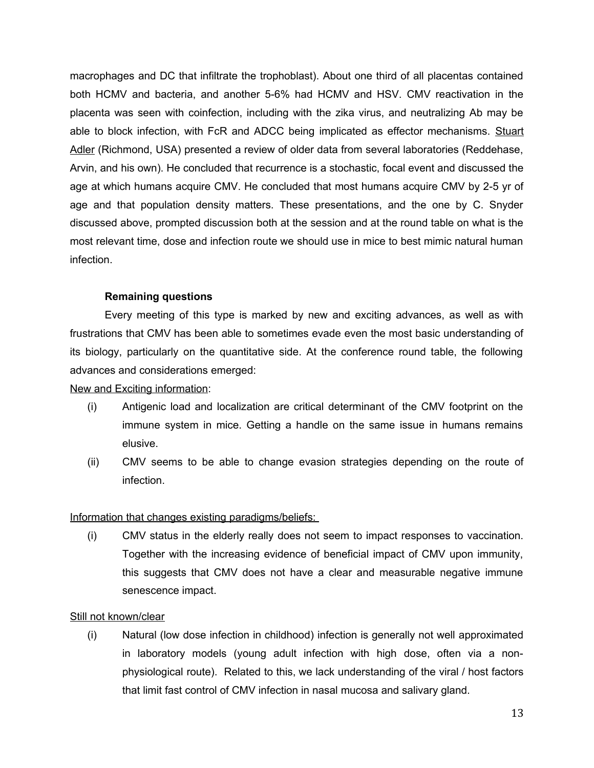macrophages and DC that infiltrate the trophoblast). About one third of all placentas contained both HCMV and bacteria, and another 5-6% had HCMV and HSV. CMV reactivation in the placenta was seen with coinfection, including with the zika virus, and neutralizing Ab may be able to block infection, with FcR and ADCC being implicated as effector mechanisms. Stuart Adler (Richmond, USA) presented a review of older data from several laboratories (Reddehase, Arvin, and his own). He concluded that recurrence is a stochastic, focal event and discussed the age at which humans acquire CMV. He concluded that most humans acquire CMV by 2-5 yr of age and that population density matters. These presentations, and the one by C. Snyder discussed above, prompted discussion both at the session and at the round table on what is the most relevant time, dose and infection route we should use in mice to best mimic natural human infection.

# **Remaining questions**

Every meeting of this type is marked by new and exciting advances, as well as with frustrations that CMV has been able to sometimes evade even the most basic understanding of its biology, particularly on the quantitative side. At the conference round table, the following advances and considerations emerged:

# New and Exciting information:

- (i) Antigenic load and localization are critical determinant of the CMV footprint on the immune system in mice. Getting a handle on the same issue in humans remains elusive.
- (ii) CMV seems to be able to change evasion strategies depending on the route of infection.

# Information that changes existing paradigms/beliefs:

(i) CMV status in the elderly really does not seem to impact responses to vaccination. Together with the increasing evidence of beneficial impact of CMV upon immunity, this suggests that CMV does not have a clear and measurable negative immune senescence impact.

# Still not known/clear

(i) Natural (low dose infection in childhood) infection is generally not well approximated in laboratory models (young adult infection with high dose, often via a nonphysiological route). Related to this, we lack understanding of the viral / host factors that limit fast control of CMV infection in nasal mucosa and salivary gland.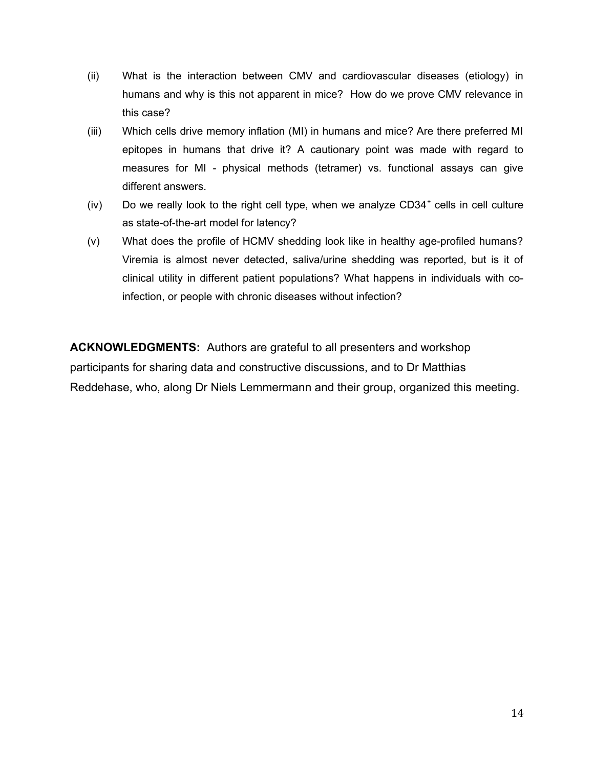- (ii) What is the interaction between CMV and cardiovascular diseases (etiology) in humans and why is this not apparent in mice? How do we prove CMV relevance in this case?
- (iii) Which cells drive memory inflation (MI) in humans and mice? Are there preferred MI epitopes in humans that drive it? A cautionary point was made with regard to measures for MI - physical methods (tetramer) vs. functional assays can give different answers.
- (iv) Do we really look to the right cell type, when we analyze CD34<sup>+</sup> cells in cell culture as state-of-the-art model for latency?
- (v) What does the profile of HCMV shedding look like in healthy age-profiled humans? Viremia is almost never detected, saliva/urine shedding was reported, but is it of clinical utility in different patient populations? What happens in individuals with coinfection, or people with chronic diseases without infection?

**ACKNOWLEDGMENTS:** Authors are grateful to all presenters and workshop participants for sharing data and constructive discussions, and to Dr Matthias Reddehase, who, along Dr Niels Lemmermann and their group, organized this meeting.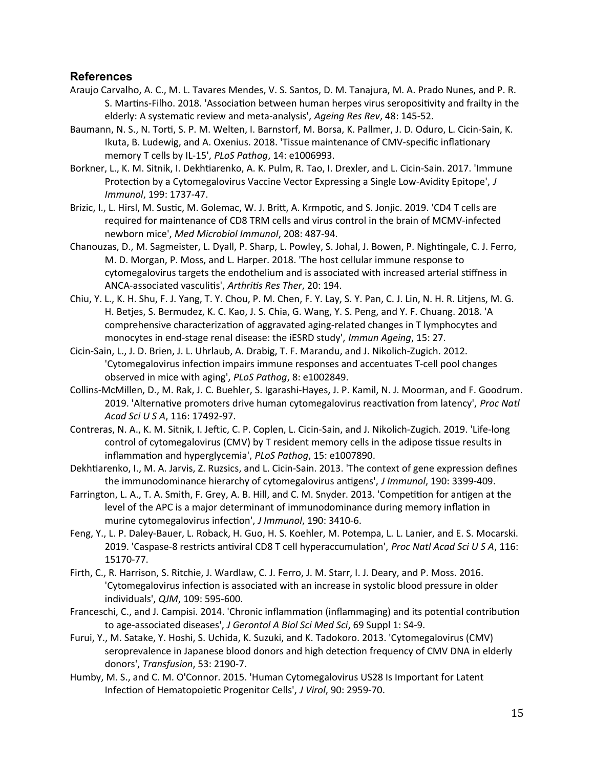# **References**

- Araujo Carvalho, A. C., M. L. Tavares Mendes, V. S. Santos, D. M. Tanajura, M. A. Prado Nunes, and P. R. S. Martins-Filho. 2018. 'Association between human herpes virus seropositivity and frailty in the elderly: A systematic review and meta-analysis', *Ageing Res Rev*, 48: 145-52.
- Baumann, N. S., N. Torti, S. P. M. Welten, I. Barnstorf, M. Borsa, K. Pallmer, J. D. Oduro, L. Cicin-Sain, K. Ikuta, B. Ludewig, and A. Oxenius. 2018. 'Tissue maintenance of CMV-specific inflationary memory T cells by IL-15', *PLoS Pathog*, 14: e1006993.
- Borkner, L., K. M. Sitnik, I. Dekhtiarenko, A. K. Pulm, R. Tao, I. Drexler, and L. Cicin-Sain. 2017. 'Immune Protection by a Cytomegalovirus Vaccine Vector Expressing a Single Low-Avidity Epitope', *J Immunol*, 199: 1737-47.
- Brizic, I., L. Hirsl, M. Sustic, M. Golemac, W. J. Britt, A. Krmpotic, and S. Jonjic. 2019. 'CD4 T cells are required for maintenance of CD8 TRM cells and virus control in the brain of MCMV-infected newborn mice', *Med Microbiol Immunol*, 208: 487-94.
- Chanouzas, D., M. Sagmeister, L. Dyall, P. Sharp, L. Powley, S. Johal, J. Bowen, P. Nightingale, C. J. Ferro, M. D. Morgan, P. Moss, and L. Harper. 2018. 'The host cellular immune response to cytomegalovirus targets the endothelium and is associated with increased arterial stiffness in ANCA-associated vasculitis', *Arthritis Res Ther*, 20: 194.
- Chiu, Y. L., K. H. Shu, F. J. Yang, T. Y. Chou, P. M. Chen, F. Y. Lay, S. Y. Pan, C. J. Lin, N. H. R. Litjens, M. G. H. Betjes, S. Bermudez, K. C. Kao, J. S. Chia, G. Wang, Y. S. Peng, and Y. F. Chuang. 2018. 'A comprehensive characterization of aggravated aging-related changes in T lymphocytes and monocytes in end-stage renal disease: the iESRD study', *Immun Ageing*, 15: 27.
- Cicin-Sain, L., J. D. Brien, J. L. Uhrlaub, A. Drabig, T. F. Marandu, and J. Nikolich-Zugich. 2012. 'Cytomegalovirus infection impairs immune responses and accentuates T-cell pool changes observed in mice with aging', *PLoS Pathog*, 8: e1002849.
- Collins-McMillen, D., M. Rak, J. C. Buehler, S. Igarashi-Hayes, J. P. Kamil, N. J. Moorman, and F. Goodrum. 2019. 'Alternative promoters drive human cytomegalovirus reactivation from latency', *Proc Natl Acad Sci U S A*, 116: 17492-97.
- Contreras, N. A., K. M. Sitnik, I. Jeftic, C. P. Coplen, L. Cicin-Sain, and J. Nikolich-Zugich. 2019. 'Life-long control of cytomegalovirus (CMV) by T resident memory cells in the adipose tissue results in inflammation and hyperglycemia', *PLoS Pathog*, 15: e1007890.
- Dekhtiarenko, I., M. A. Jarvis, Z. Ruzsics, and L. Cicin-Sain. 2013. 'The context of gene expression defines the immunodominance hierarchy of cytomegalovirus antigens', *J Immunol*, 190: 3399-409.
- Farrington, L. A., T. A. Smith, F. Grey, A. B. Hill, and C. M. Snyder. 2013. 'Competition for antigen at the level of the APC is a major determinant of immunodominance during memory inflation in murine cytomegalovirus infection', *J Immunol*, 190: 3410-6.
- Feng, Y., L. P. Daley-Bauer, L. Roback, H. Guo, H. S. Koehler, M. Potempa, L. L. Lanier, and E. S. Mocarski. 2019. 'Caspase-8 restricts antiviral CD8 T cell hyperaccumulation', *Proc Natl Acad Sci U S A*, 116: 15170-77.
- Firth, C., R. Harrison, S. Ritchie, J. Wardlaw, C. J. Ferro, J. M. Starr, I. J. Deary, and P. Moss. 2016. 'Cytomegalovirus infection is associated with an increase in systolic blood pressure in older individuals', *QJM*, 109: 595-600.
- Franceschi, C., and J. Campisi. 2014. 'Chronic inflammation (inflammaging) and its potential contribution to age-associated diseases', *J Gerontol A Biol Sci Med Sci*, 69 Suppl 1: S4-9.
- Furui, Y., M. Satake, Y. Hoshi, S. Uchida, K. Suzuki, and K. Tadokoro. 2013. 'Cytomegalovirus (CMV) seroprevalence in Japanese blood donors and high detection frequency of CMV DNA in elderly donors', *Transfusion*, 53: 2190-7.
- Humby, M. S., and C. M. O'Connor. 2015. 'Human Cytomegalovirus US28 Is Important for Latent Infection of Hematopoietic Progenitor Cells', *J Virol*, 90: 2959-70.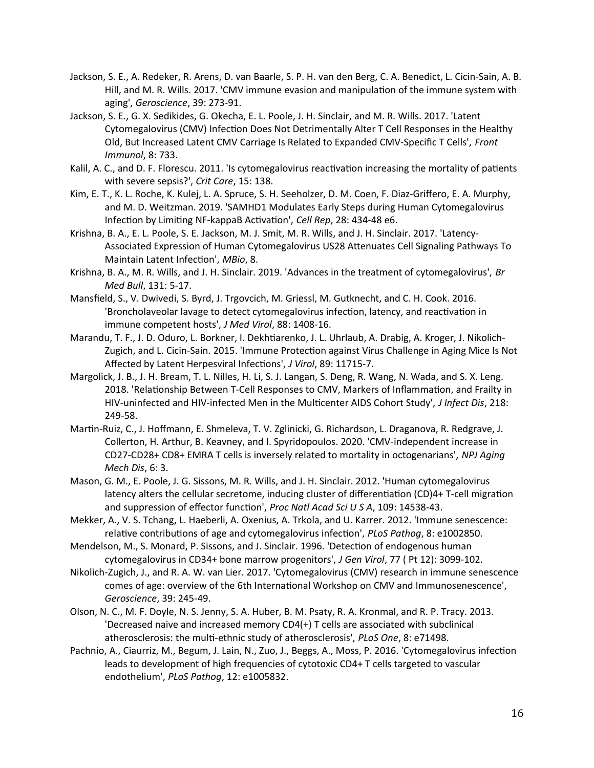- Jackson, S. E., A. Redeker, R. Arens, D. van Baarle, S. P. H. van den Berg, C. A. Benedict, L. Cicin-Sain, A. B. Hill, and M. R. Wills. 2017. 'CMV immune evasion and manipulation of the immune system with aging', *Geroscience*, 39: 273-91.
- Jackson, S. E., G. X. Sedikides, G. Okecha, E. L. Poole, J. H. Sinclair, and M. R. Wills. 2017. 'Latent Cytomegalovirus (CMV) Infection Does Not Detrimentally Alter T Cell Responses in the Healthy Old, But Increased Latent CMV Carriage Is Related to Expanded CMV-Specific T Cells', *Front Immunol*, 8: 733.
- Kalil, A. C., and D. F. Florescu. 2011. 'Is cytomegalovirus reactivation increasing the mortality of patients with severe sepsis?', *Crit Care*, 15: 138.
- Kim, E. T., K. L. Roche, K. Kulej, L. A. Spruce, S. H. Seeholzer, D. M. Coen, F. Diaz-Griffero, E. A. Murphy, and M. D. Weitzman. 2019. 'SAMHD1 Modulates Early Steps during Human Cytomegalovirus Infection by Limiting NF-kappaB Activation', *Cell Rep*, 28: 434-48 e6.
- Krishna, B. A., E. L. Poole, S. E. Jackson, M. J. Smit, M. R. Wills, and J. H. Sinclair. 2017. 'Latency-Associated Expression of Human Cytomegalovirus US28 Attenuates Cell Signaling Pathways To Maintain Latent Infection', *MBio*, 8.
- Krishna, B. A., M. R. Wills, and J. H. Sinclair. 2019. 'Advances in the treatment of cytomegalovirus', *Br Med Bull*, 131: 5-17.
- Mansfield, S., V. Dwivedi, S. Byrd, J. Trgovcich, M. Griessl, M. Gutknecht, and C. H. Cook. 2016. 'Broncholaveolar lavage to detect cytomegalovirus infection, latency, and reactivation in immune competent hosts', *J Med Virol*, 88: 1408-16.
- Marandu, T. F., J. D. Oduro, L. Borkner, I. Dekhtiarenko, J. L. Uhrlaub, A. Drabig, A. Kroger, J. Nikolich-Zugich, and L. Cicin-Sain. 2015. 'Immune Protection against Virus Challenge in Aging Mice Is Not Affected by Latent Herpesviral Infections', *J Virol*, 89: 11715-7.
- Margolick, J. B., J. H. Bream, T. L. Nilles, H. Li, S. J. Langan, S. Deng, R. Wang, N. Wada, and S. X. Leng. 2018. 'Relationship Between T-Cell Responses to CMV, Markers of Inflammation, and Frailty in HIV-uninfected and HIV-infected Men in the Multicenter AIDS Cohort Study', *J Infect Dis*, 218: 249-58.
- Martin-Ruiz, C., J. Hoffmann, E. Shmeleva, T. V. Zglinicki, G. Richardson, L. Draganova, R. Redgrave, J. Collerton, H. Arthur, B. Keavney, and I. Spyridopoulos. 2020. 'CMV-independent increase in CD27-CD28+ CD8+ EMRA T cells is inversely related to mortality in octogenarians', *NPJ Aging Mech Dis*, 6: 3.
- Mason, G. M., E. Poole, J. G. Sissons, M. R. Wills, and J. H. Sinclair. 2012. 'Human cytomegalovirus latency alters the cellular secretome, inducing cluster of differentiation (CD)4+ T-cell migration and suppression of effector function', *Proc Natl Acad Sci U S A*, 109: 14538-43.
- Mekker, A., V. S. Tchang, L. Haeberli, A. Oxenius, A. Trkola, and U. Karrer. 2012. 'Immune senescence: relative contributions of age and cytomegalovirus infection', *PLoS Pathog*, 8: e1002850.
- Mendelson, M., S. Monard, P. Sissons, and J. Sinclair. 1996. 'Detection of endogenous human cytomegalovirus in CD34+ bone marrow progenitors', *J Gen Virol*, 77 ( Pt 12): 3099-102.
- Nikolich-Zugich, J., and R. A. W. van Lier. 2017. 'Cytomegalovirus (CMV) research in immune senescence comes of age: overview of the 6th International Workshop on CMV and Immunosenescence', *Geroscience*, 39: 245-49.
- Olson, N. C., M. F. Doyle, N. S. Jenny, S. A. Huber, B. M. Psaty, R. A. Kronmal, and R. P. Tracy. 2013. 'Decreased naive and increased memory CD4(+) T cells are associated with subclinical atherosclerosis: the multi-ethnic study of atherosclerosis', *PLoS One*, 8: e71498.
- Pachnio, A., Ciaurriz, M., Begum, J. Lain, N., Zuo, J., Beggs, A., Moss, P. 2016. 'Cytomegalovirus infection leads to development of high frequencies of cytotoxic CD4+ T cells targeted to vascular endothelium', *PLoS Pathog*, 12: e1005832.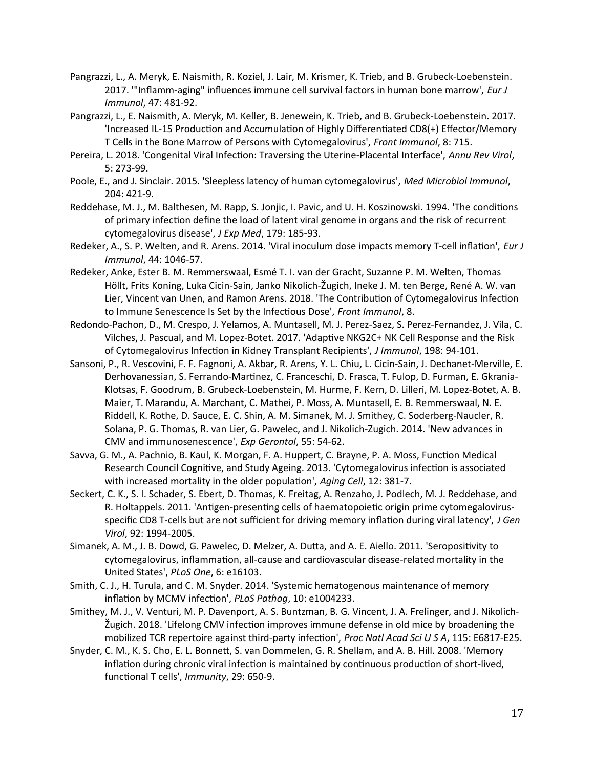- Pangrazzi, L., A. Meryk, E. Naismith, R. Koziel, J. Lair, M. Krismer, K. Trieb, and B. Grubeck-Loebenstein. 2017. '"Inflamm-aging" influences immune cell survival factors in human bone marrow', *Eur J Immunol*, 47: 481-92.
- Pangrazzi, L., E. Naismith, A. Meryk, M. Keller, B. Jenewein, K. Trieb, and B. Grubeck-Loebenstein. 2017. 'Increased IL-15 Production and Accumulation of Highly Differentiated CD8(+) Effector/Memory T Cells in the Bone Marrow of Persons with Cytomegalovirus', *Front Immunol*, 8: 715.
- Pereira, L. 2018. 'Congenital Viral Infection: Traversing the Uterine-Placental Interface', *Annu Rev Virol*, 5: 273-99.
- Poole, E., and J. Sinclair. 2015. 'Sleepless latency of human cytomegalovirus', *Med Microbiol Immunol*, 204: 421-9.
- Reddehase, M. J., M. Balthesen, M. Rapp, S. Jonjic, I. Pavic, and U. H. Koszinowski. 1994. 'The conditions of primary infection define the load of latent viral genome in organs and the risk of recurrent cytomegalovirus disease', *J Exp Med*, 179: 185-93.
- Redeker, A., S. P. Welten, and R. Arens. 2014. 'Viral inoculum dose impacts memory T-cell inflation', *Eur J Immunol*, 44: 1046-57.
- Redeker, Anke, Ester B. M. Remmerswaal, Esmé T. I. van der Gracht, Suzanne P. M. Welten, Thomas Höllt, Frits Koning, Luka Cicin-Sain, Janko Nikolich-Žugich, Ineke J. M. ten Berge, René A. W. van Lier, Vincent van Unen, and Ramon Arens. 2018. 'The Contribution of Cytomegalovirus Infection to Immune Senescence Is Set by the Infectious Dose', *Front Immunol*, 8.
- Redondo-Pachon, D., M. Crespo, J. Yelamos, A. Muntasell, M. J. Perez-Saez, S. Perez-Fernandez, J. Vila, C. Vilches, J. Pascual, and M. Lopez-Botet. 2017. 'Adaptive NKG2C+ NK Cell Response and the Risk of Cytomegalovirus Infection in Kidney Transplant Recipients', *J Immunol*, 198: 94-101.
- Sansoni, P., R. Vescovini, F. F. Fagnoni, A. Akbar, R. Arens, Y. L. Chiu, L. Cicin-Sain, J. Dechanet-Merville, E. Derhovanessian, S. Ferrando-Martinez, C. Franceschi, D. Frasca, T. Fulop, D. Furman, E. Gkrania-Klotsas, F. Goodrum, B. Grubeck-Loebenstein, M. Hurme, F. Kern, D. Lilleri, M. Lopez-Botet, A. B. Maier, T. Marandu, A. Marchant, C. Mathei, P. Moss, A. Muntasell, E. B. Remmerswaal, N. E. Riddell, K. Rothe, D. Sauce, E. C. Shin, A. M. Simanek, M. J. Smithey, C. Soderberg-Naucler, R. Solana, P. G. Thomas, R. van Lier, G. Pawelec, and J. Nikolich-Zugich. 2014. 'New advances in CMV and immunosenescence', *Exp Gerontol*, 55: 54-62.
- Savva, G. M., A. Pachnio, B. Kaul, K. Morgan, F. A. Huppert, C. Brayne, P. A. Moss, Function Medical Research Council Cognitive, and Study Ageing. 2013. 'Cytomegalovirus infection is associated with increased mortality in the older population', *Aging Cell*, 12: 381-7.
- Seckert, C. K., S. I. Schader, S. Ebert, D. Thomas, K. Freitag, A. Renzaho, J. Podlech, M. J. Reddehase, and R. Holtappels. 2011. 'Antigen-presenting cells of haematopoietic origin prime cytomegalovirusspecific CD8 T-cells but are not sufficient for driving memory inflation during viral latency', *J Gen Virol*, 92: 1994-2005.
- Simanek, A. M., J. B. Dowd, G. Pawelec, D. Melzer, A. Dutta, and A. E. Aiello. 2011. 'Seropositivity to cytomegalovirus, inflammation, all-cause and cardiovascular disease-related mortality in the United States', *PLoS One*, 6: e16103.
- Smith, C. J., H. Turula, and C. M. Snyder. 2014. 'Systemic hematogenous maintenance of memory inflation by MCMV infection', *PLoS Pathog*, 10: e1004233.
- Smithey, M. J., V. Venturi, M. P. Davenport, A. S. Buntzman, B. G. Vincent, J. A. Frelinger, and J. Nikolich-Žugich. 2018. 'Lifelong CMV infection improves immune defense in old mice by broadening the mobilized TCR repertoire against third-party infection', *Proc Natl Acad Sci U S A*, 115: E6817-E25.
- Snyder, C. M., K. S. Cho, E. L. Bonnett, S. van Dommelen, G. R. Shellam, and A. B. Hill. 2008. 'Memory inflation during chronic viral infection is maintained by continuous production of short-lived, functional T cells', *Immunity*, 29: 650-9.